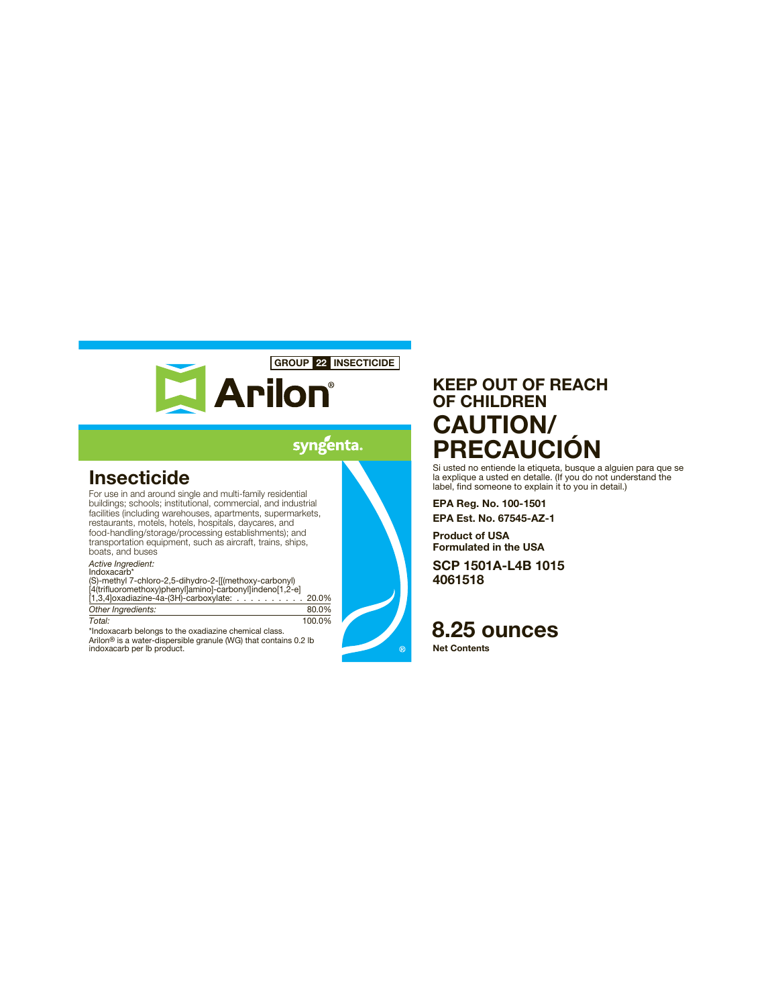

## syngenta

# **Insecticide**

For use in and around single and multi-family residential buildings; schools; institutional, commercial, and industrial facilities (including warehouses, apartments, supermarkets, restaurants, motels, hotels, hospitals, daycares, and food-handling/storage/processing establishments); and transportation equipment, such as aircraft, trains, ships, boats, and buses

*Active Ingredient:*

Indoxacarb\*<br>(S)-methyl 7-chloro-2,5-dihydro-2-[[(methoxy-carbonyl)<br>[4(trifluoromethoxy)phenyl]amino]-carbonyl]indeno[1,2-e]<br>[1,3,4]oxadiazine-4a-(3H)-carboxylate: . . . . . . . . . . 20.0% *Other Ingredients:* 80.0%

*Total:* 100.0% \*Indoxacarb belongs to the oxadiazine chemical class. Arilon® is a water-dispersible granule (WG) that contains 0.2 lb indoxacarb per lb product.

# **KEEP OUT OF REACH OF CHILDREN CAUTION/ PRECAUCIÓN**

Si usted no entiende la etiqueta, busque a alguien para que se la explique a usted en detalle. (If you do not understand the label, find someone to explain it to you in detail.)

**EPA Reg. No. 100-1501 EPA Est. No. 67545-AZ-1**

**Product of USA Formulated in the USA**

**SCP 1501A-L4B 1015 4061518**

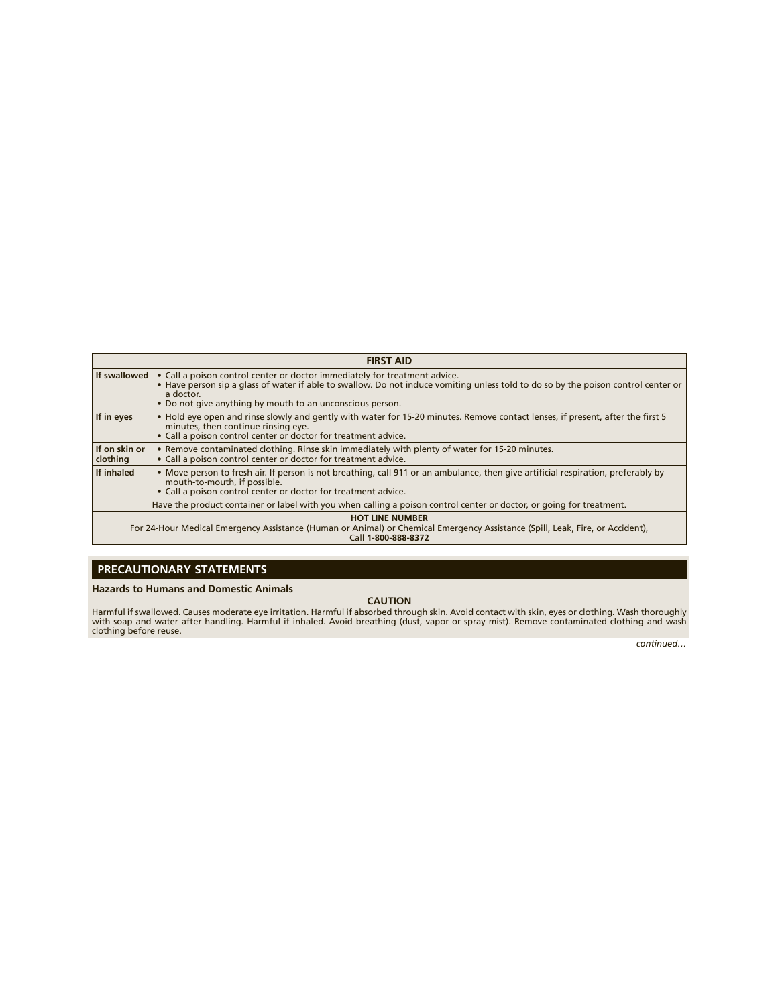| <b>FIRST AID</b>                                                                                                                                                               |                                                                                                                                                                                                                                                                                            |  |  |  |
|--------------------------------------------------------------------------------------------------------------------------------------------------------------------------------|--------------------------------------------------------------------------------------------------------------------------------------------------------------------------------------------------------------------------------------------------------------------------------------------|--|--|--|
| If swallowed                                                                                                                                                                   | • Call a poison control center or doctor immediately for treatment advice.<br>• Have person sip a glass of water if able to swallow. Do not induce vomiting unless told to do so by the poison control center or<br>a doctor.<br>• Do not give anything by mouth to an unconscious person. |  |  |  |
| If in eyes                                                                                                                                                                     | . Hold eye open and rinse slowly and gently with water for 15-20 minutes. Remove contact lenses, if present, after the first 5<br>minutes, then continue rinsing eye.<br>• Call a poison control center or doctor for treatment advice.                                                    |  |  |  |
| If on skin or<br>clothing                                                                                                                                                      | • Remove contaminated clothing. Rinse skin immediately with plenty of water for 15-20 minutes.<br>• Call a poison control center or doctor for treatment advice.                                                                                                                           |  |  |  |
| If inhaled                                                                                                                                                                     | • Move person to fresh air. If person is not breathing, call 911 or an ambulance, then give artificial respiration, preferably by<br>mouth-to-mouth, if possible.<br>• Call a poison control center or doctor for treatment advice.                                                        |  |  |  |
| Have the product container or label with you when calling a poison control center or doctor, or going for treatment.                                                           |                                                                                                                                                                                                                                                                                            |  |  |  |
| <b>HOT LINE NUMBER</b><br>For 24-Hour Medical Emergency Assistance (Human or Animal) or Chemical Emergency Assistance (Spill, Leak, Fire, or Accident),<br>Call 1-800-888-8372 |                                                                                                                                                                                                                                                                                            |  |  |  |

## **PRECAUTIONARY STATEMENTS**

#### **Hazards to Humans and Domestic Animals**

#### **CAUTION**

Harmful if swallowed. Causes moderate eye irritation. Harmful if absorbed through skin. Avoid contact with skin, eyes or clothing. Wash thoroughly<br>with soap and water after handling. Harmful if inhaled. Avoid breathing (du

*continued…*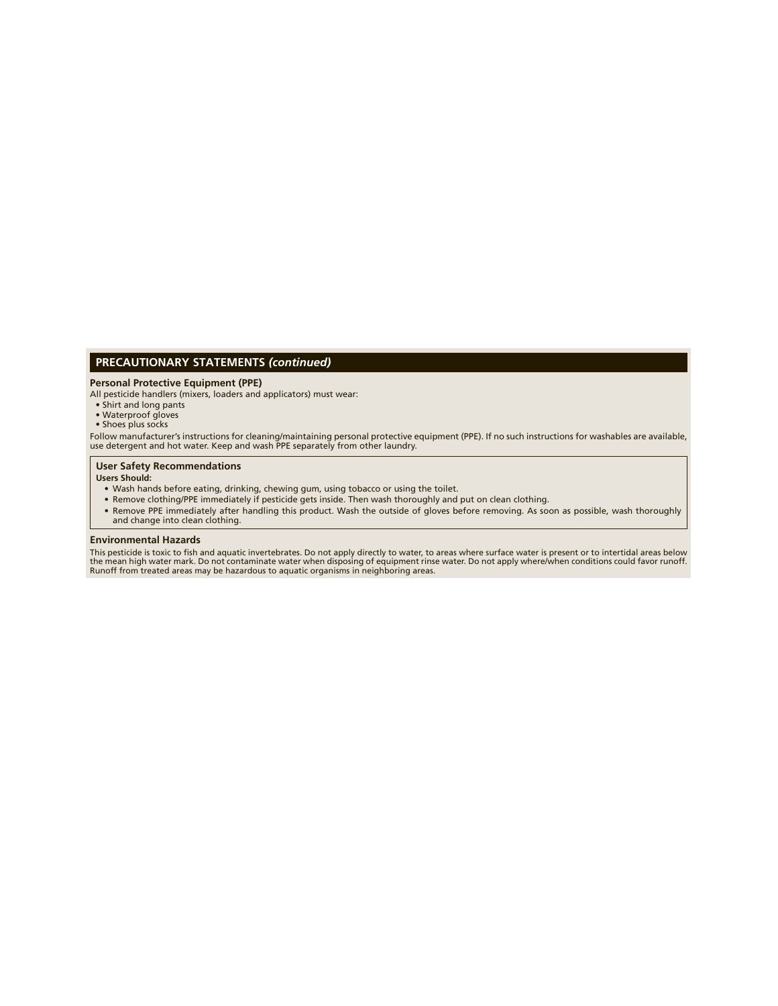## **PRECAUTIONARY STATEMENTS** *(continued)*

## **Personal Protective Equipment (PPE)**

All pesticide handlers (mixers, loaders and applicators) must wear:

- Shirt and long pants
- Waterproof gloves Shoes plus socks
- 

Follow manufacturer's instructions for cleaning/maintaining personal protective equipment (PPE). If no such instructions for washables are available,<br>use detergent and hot water. Keep and wash PPE separately from other lau

#### **User Safety Recommendations**

#### **Users Should:**

- Wash hands before eating, drinking, chewing gum, using tobacco or using the toilet.
- Remove clothing/PPE immediately if pesticide gets inside. Then wash thoroughly and put on clean clothing.
- Remove PPE immediately after handling this product. Wash the outside of gloves before removing. As soon as possible, wash thoroughly and change into clean clothing.

#### **Environmental Hazards**

This pesticide is toxic to fish and aquatic invertebrates. Do not apply directly to water, to areas where surface water is present or to intertidal areas below<br>the mean high water mark. Do not contaminate water when dispos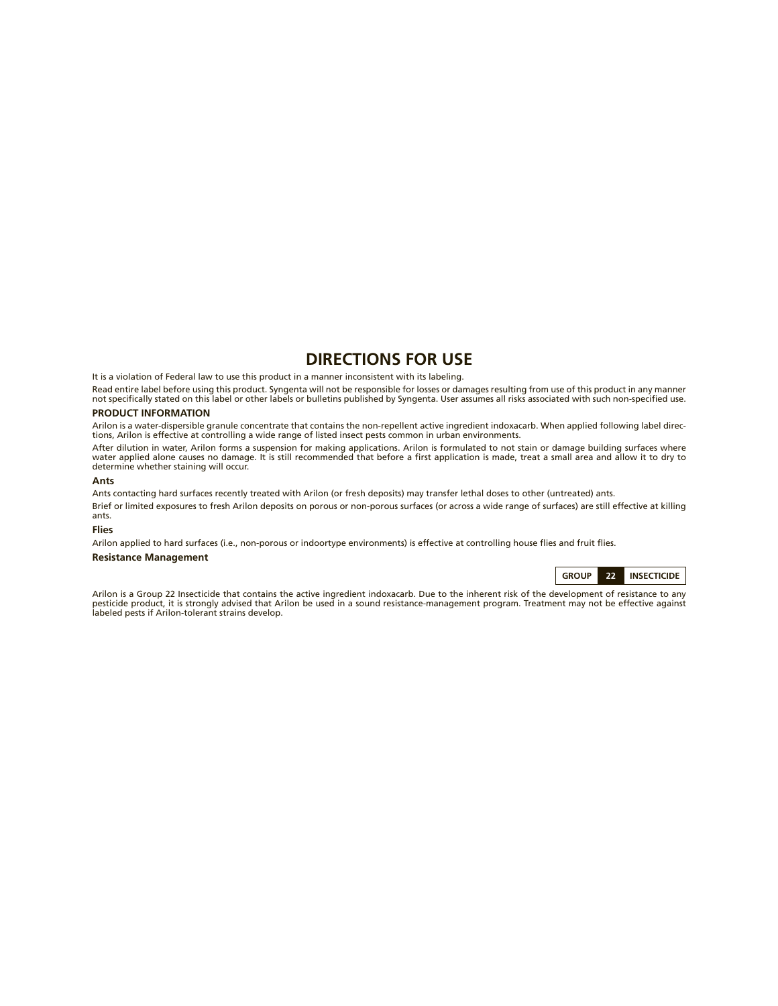## **DIRECTIONS FOR USE**

It is a violation of Federal law to use this product in a manner inconsistent with its labeling.

Read entire label before using this product. Syngenta will not be responsible for losses or damages resulting from use of this product in any manner not specifically stated on this label or other labels or bulletins published by Syngenta. User assumes all risks associated with such non-specified use.

## **PRODUCT INFORMATION**

Arilon is a water-dispersible granule concentrate that contains the non-repellent active ingredient indoxacarb. When applied following label directions, Arilon is effective at controlling a wide range of listed insect pests common in urban environments.

After dilution in water, Arilon forms a suspension for making applications. Arilon is formulated to not stain or damage building surfaces where<br>water applied alone causes no damage. It is still recommended that before a fi determine whether staining will occur.

#### **Ants**

Ants contacting hard surfaces recently treated with Arilon (or fresh deposits) may transfer lethal doses to other (untreated) ants. Brief or limited exposures to fresh Arilon deposits on porous or non -porous surfaces (or across a wide range of surfaces) are still effective at killing ants.

#### **Flies**

Arilon applied to hard surfaces (i.e., non-porous or indoortype environments) is effective at controlling house flies and fruit flies.

## **Resistance Management**

**GROUP 22 INSECTICIDE**

Arilon is a Group 22 Insecticide that contains the active ingredient indoxacarb. Due to the inherent risk of the development of resistance to any pesticide product, it is strongly advised that Arilon be used in a sound resistance-management program. Treatment may not be effective against labeled pests if Arilon-tolerant strains develop.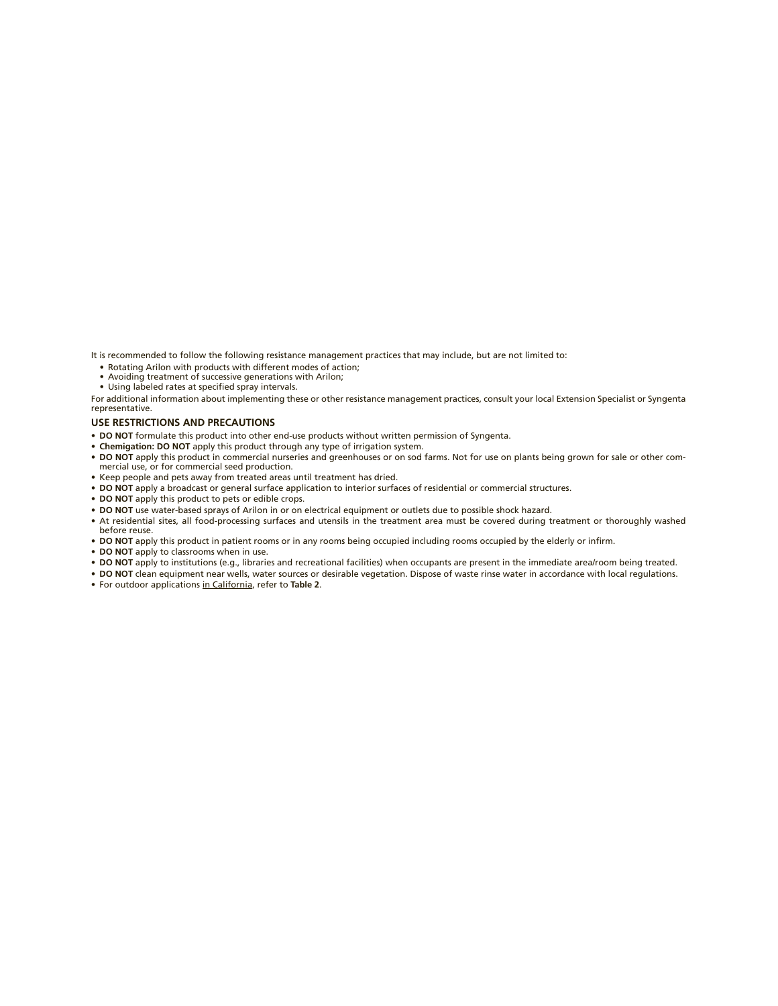It is recommended to follow the following resistance management practices that may include, but are not limited to:

- Rotating Arilon with products with different modes of action;
- Avoiding treatment of successive generations with Arilon;<br>• Using labeled rates at specified spray intervals.
- 

For additional information about implementing these or other resistance management practices, consult your local Extension Specialist or Syngenta representative.

#### **USE RESTRICTIONS AND PRECAUTIONS**

- DO NOT formulate this product into other end-use products without written permission of Syngenta.
- **Chemigation: DO NOT** apply this product through any type of irrigation system.
- **DO NOT** apply this product in commercial nurseries and greenhouses or on sod farms. Not for use on plants being grown for sale or other com-
- mercial use, or for commercial seed production. • Keep people and pets away from treated areas until treatment has dried.
- **DO NOT** apply a broadcast or general surface application to interior surfaces of residential or commercial structures.
- **DO NOT** apply this product to pets or edible crops.
- **DO NOT** use water-based sprays of Arilon in or on electrical equipment or outlets due to possible shock hazard.
- At residential sites, all food-processing surfaces and utensils in the treatment area must be covered during treatment or thoroughly washed before reuse.
- DO NOT apply this product in patient rooms or in any rooms being occupied including rooms occupied by the elderly or infirm.
- **DO NOT** apply to classrooms when in use.
- **DO NOT** apply to institutions (e.g., libraries and recreational facilities) when occupants are present in the immediate area/room being treated.
- **DO NOT** clean equipment near wells, water sources or desirable vegetation. Dispose of waste rinse water in accordance with local regulations.
- For outdoor applications in California, refer to **Table 2**.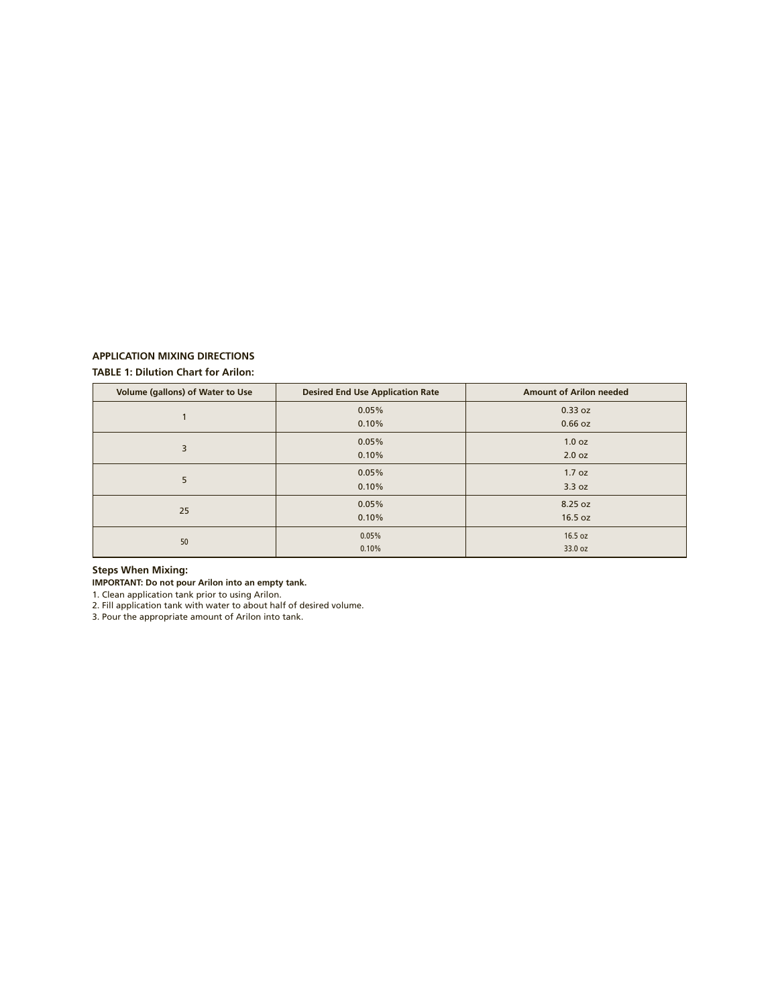## **APPLICATION MIXING DIRECTIONS**

## **TABLE 1: Dilution Chart for Arilon:**

| <b>Volume (gallons) of Water to Use</b> | <b>Desired End Use Application Rate</b> | <b>Amount of Arilon needed</b> |
|-----------------------------------------|-----------------------------------------|--------------------------------|
|                                         | 0.05%                                   | 0.33 oz                        |
|                                         | 0.10%                                   | 0.66 oz                        |
| 3                                       | 0.05%                                   | 1.0 oz                         |
|                                         | 0.10%                                   | 2.0 oz                         |
| 5                                       | 0.05%                                   | 1.7 oz                         |
|                                         | 0.10%                                   | 3.3 oz                         |
| 25                                      | 0.05%                                   | 8.25 oz                        |
|                                         | 0.10%                                   | 16.5 oz                        |
| 50                                      | 0.05%                                   | 16.5 oz                        |
|                                         | 0.10%                                   | 33.0 oz                        |

## **Steps When Mixing:**

**IMPORTANT: Do not pour Arilon into an empty tank.**

1. Clean application tank prior to using Arilon.

2. Fill application tank with water to about half of desired volume.

3. Pour the appropriate amount of Arilon into tank.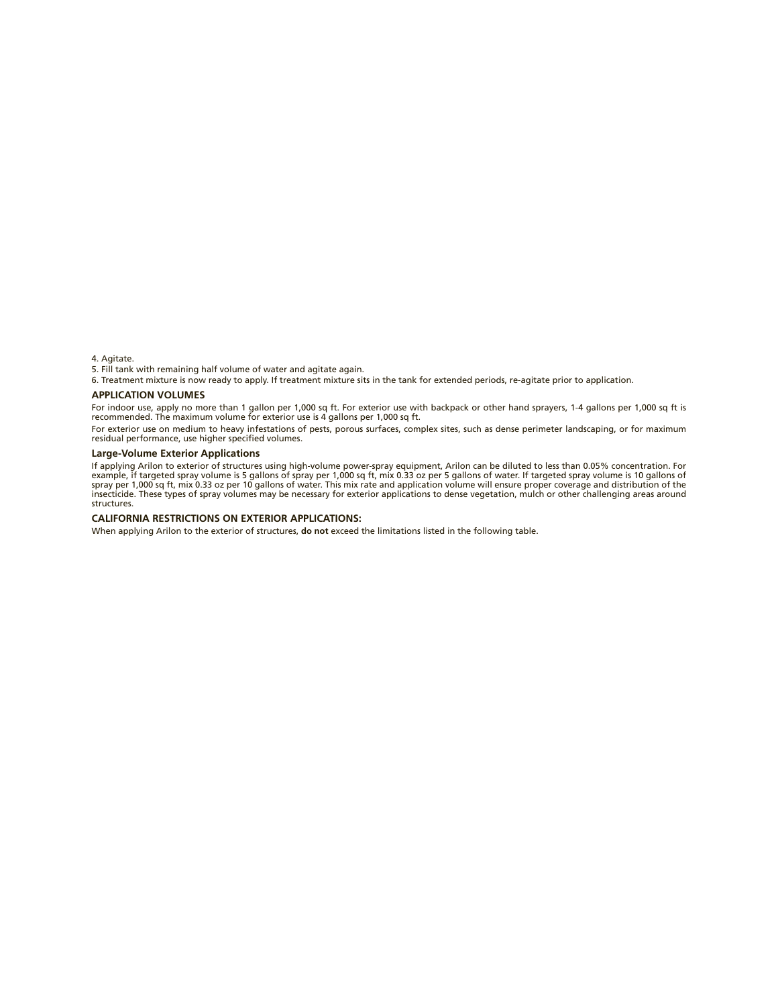4. Agitate.

5. Fill tank with remaining half volume of water and agitate again.

6. Treatment mixture is now ready to apply. If treatment mixture sits in the tank for extended periods, re- agitate prior to application.

#### **APPLICATION VOLUMES**

For indoor use, apply no more than 1 gallon per 1,000 sq ft. For exterior use with backpack or other hand sprayers, 1-4 gallons per 1,000 sq ft is<br>recommended. The maximum volume for exterior use is 4 gallons per 1,000 sq

For exterior use on medium to heavy infestations of pests, porous surfaces, complex sites, such as dense perimeter landscaping, or for maximum residual performance, use higher specified volumes.

### **Large-Volume Exterior Applications**

If applying Arilon to exterior of structures using high-volume power-spray equipment, Arilon can be diluted to less than 0.05% concentration. For<br>example, if targeted spray volume is 5 gallons of spray per 1,000 sq ft, mix structures.

#### **CALIFORNIA RESTRICTIONS ON EXTERIOR APPLICATIONS:**

When applying Arilon to the exterior of structures, **do not** exceed the limitations listed in the following table.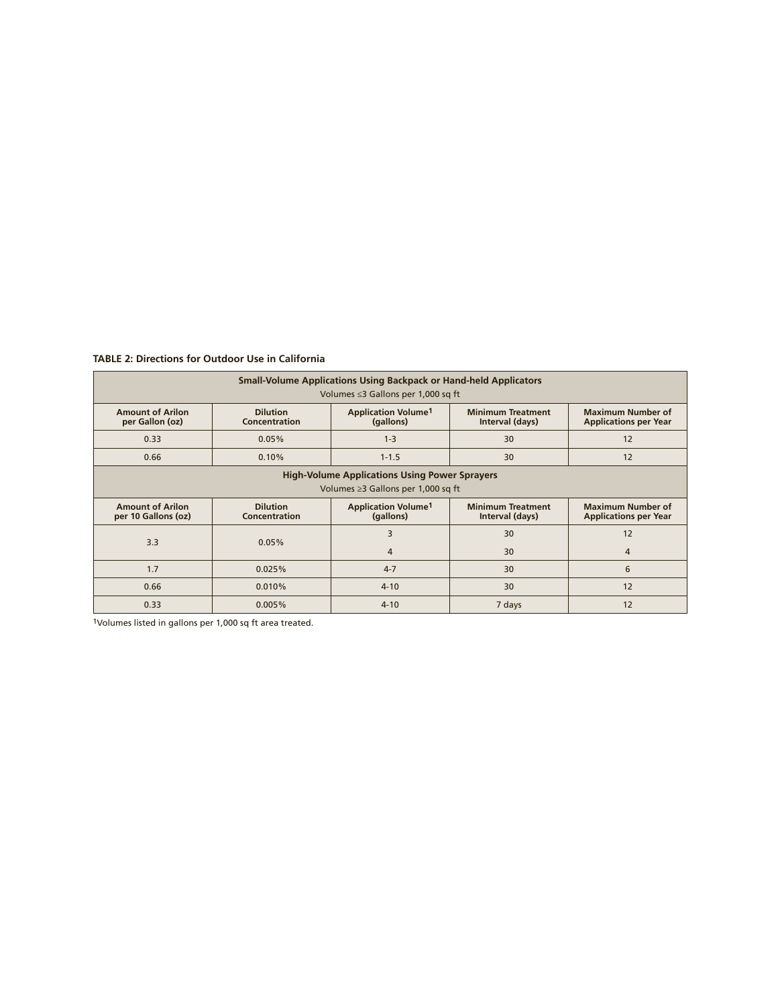**TABLE 2: Directions for Outdoor Use in California**

| <b>Small-Volume Applications Using Backpack or Hand-held Applicators</b> |                                  |                                                    |                                             |                                                          |  |  |  |
|--------------------------------------------------------------------------|----------------------------------|----------------------------------------------------|---------------------------------------------|----------------------------------------------------------|--|--|--|
| Volumes $\leq$ 3 Gallons per 1,000 sq ft                                 |                                  |                                                    |                                             |                                                          |  |  |  |
| <b>Amount of Arilon</b><br>per Gallon (oz)                               | <b>Dilution</b><br>Concentration | <b>Application Volume<sup>1</sup></b><br>(gallons) | <b>Minimum Treatment</b><br>Interval (days) | <b>Maximum Number of</b><br><b>Applications per Year</b> |  |  |  |
| 0.33                                                                     | 0.05%                            | $1 - 3$                                            | 30                                          | 12                                                       |  |  |  |
| 0.66                                                                     | 0.10%                            | $1 - 1.5$                                          | 30                                          | 12                                                       |  |  |  |
| <b>High-Volume Applications Using Power Sprayers</b>                     |                                  |                                                    |                                             |                                                          |  |  |  |
| Volumes $\geq$ 3 Gallons per 1,000 sq ft                                 |                                  |                                                    |                                             |                                                          |  |  |  |
| <b>Amount of Arilon</b><br>per 10 Gallons (oz)                           | <b>Dilution</b>                  | <b>Application Volume1</b>                         | <b>Minimum Treatment</b>                    | <b>Maximum Number of</b>                                 |  |  |  |
|                                                                          | Concentration                    | (gallons)                                          | Interval (days)                             | <b>Applications per Year</b>                             |  |  |  |
|                                                                          |                                  | 3                                                  | 30                                          | 12                                                       |  |  |  |
| 3.3                                                                      | 0.05%                            | 4                                                  | 30                                          | 4                                                        |  |  |  |
| 1.7                                                                      | 0.025%                           | $4 - 7$                                            | 30                                          | 6                                                        |  |  |  |
| 0.66                                                                     | 0.010%                           | $4 - 10$                                           | 30                                          | 12                                                       |  |  |  |

1Volumes listed in gallons per 1,000 sq ft area treated.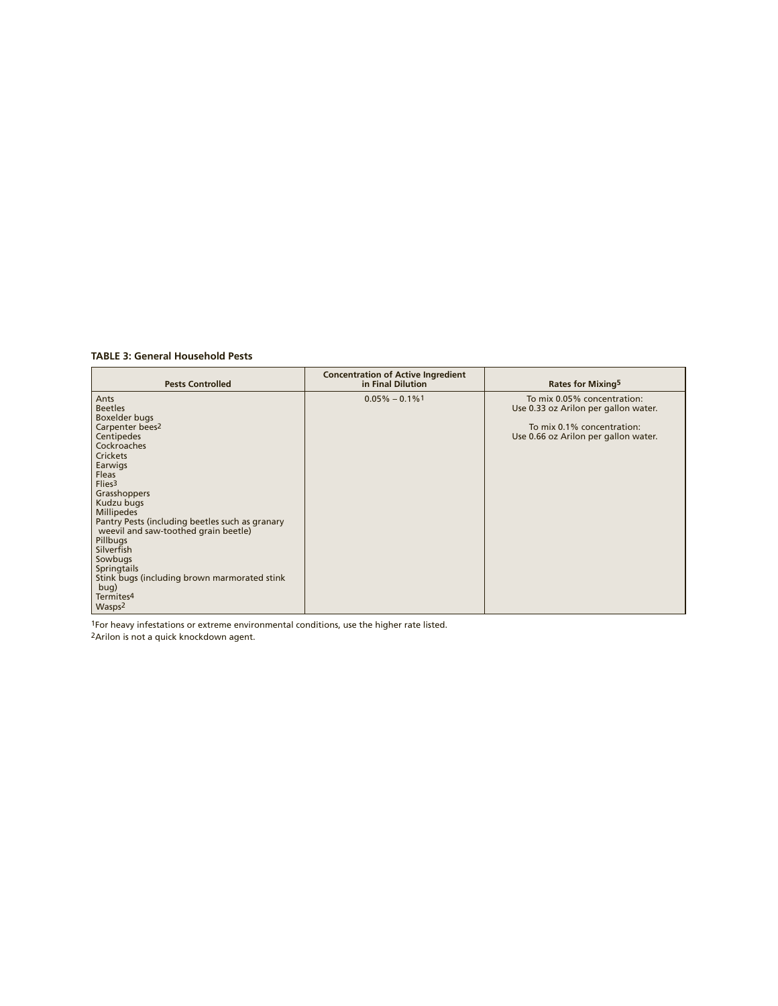**TABLE 3: General Household Pests**

| <b>Pests Controlled</b>                                                                             | <b>Concentration of Active Ingredient</b><br>in Final Dilution | Rates for Mixing <sup>5</sup>                                       |
|-----------------------------------------------------------------------------------------------------|----------------------------------------------------------------|---------------------------------------------------------------------|
| Ants<br><b>Beetles</b>                                                                              | $0.05\% - 0.1\%$ <sup>1</sup>                                  | To mix 0.05% concentration:<br>Use 0.33 oz Arilon per gallon water. |
| Boxelder bugs<br>Carpenter bees <sup>2</sup><br>Centipedes                                          |                                                                | To mix 0.1% concentration:<br>Use 0.66 oz Arilon per gallon water.  |
| Cockroaches<br><b>Crickets</b><br>Earwigs                                                           |                                                                |                                                                     |
| Fleas<br>Flies <sub>3</sub>                                                                         |                                                                |                                                                     |
| Grasshoppers<br>Kudzu bugs<br><b>Millipedes</b>                                                     |                                                                |                                                                     |
| Pantry Pests (including beetles such as granary<br>weevil and saw-toothed grain beetle)<br>Pillbugs |                                                                |                                                                     |
| Silverfish<br>Sowbugs                                                                               |                                                                |                                                                     |
| <b>Springtails</b><br>Stink bugs (including brown marmorated stink<br>bug)                          |                                                                |                                                                     |
| Termites <sup>4</sup><br>Wasps <sup>2</sup>                                                         |                                                                |                                                                     |

1For heavy infestations or extreme environmental conditions, use the higher rate listed.

2Arilon is not a quick knockdown agent.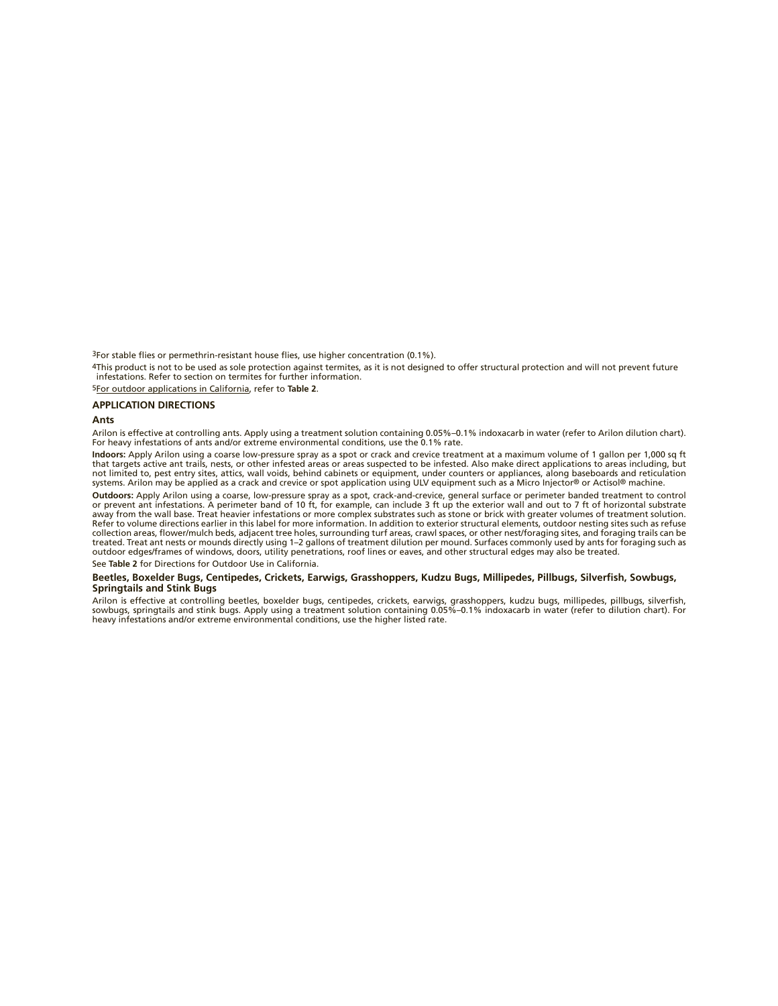3For stable flies or permethrin-resistant house flies, use higher concentration (0.1%).

4This product is not to be used as sole protection against termites, as it is not designed to offer structural protection and will not prevent future infestations. Refer to section on termites for further information.

5For outdoor applications in California, refer to **Table 2**.

#### **APPLICATION DIRECTIONS**

#### **Ants**

Arilon is effective at controlling ants. Apply using a treatment solution containing 0.05%–0.1% indoxacarb in water (refer to Arilon dilution chart). For heavy infestations of ants and/or extreme environmental conditions, use the 0.1% rate.

**Indoors:** Apply Arilon using a coarse low-pressure spray as a spot or crack and crevice treatment at a maximum volume of 1 gallon per 1,000 sq ft<br>that targets active ant trails, nests, or other infested areas or areas sus not limited to, pest entry sites, attics, wall voids, behind cabinets or equipment, under counters or appliances, along baseboards and reticulation systems. Arilon may be applied as a crack and crevice or spot application using ULV equipment such as a Micro Injector® or Actisol® machine.

**Outdoors:** Apply Arilon using a coarse, low-pressure spray as a spot, crack-and-crevice, general surface or perimeter banded treatment to control or prevent ant infestations. A perimeter band of 10 ft, for example, can include 3 ft up the exterior wall and out to 7 ft of horizontal substrate<br>away from the wall base. Treat heavier infestations or more complex substra Refer to volume directions earlier in this label for more information. In addition to exterior structural elements, outdoor nesting sites such as refuse collection areas, flower/mulch beds, adjacent tree holes, surrounding turf areas, crawl spaces, or other nest/foraging sites, and foraging trails can be treated. Treat ant nests or mounds directly using 1–2 gallons of treatment dilution per mound. Surfaces commonly used by ants for foraging such as outdoor edges/frames of windows, doors, utility penetrations, roof lines or eaves, and other structural edges may also be treated.

See **Table 2** for Directions for Outdoor Use in California.

#### Beetles, Boxelder Bugs, Centipedes, Crickets, Earwigs, Grasshoppers, Kudzu Bugs, Millipedes, Pillbugs, Silverfish, Sowbugs, **Springtails and Stink Bugs**

Arilon is effective at controlling beetles, boxelder bugs, centipedes, crickets, earwigs, grasshoppers, kudzu bugs, millipedes, pillbugs, silverfish,<br>sowbugs, springtails and stink bugs. Apply using a treatment solution co heavy infestations and/or extreme environmental conditions, use the higher listed rate.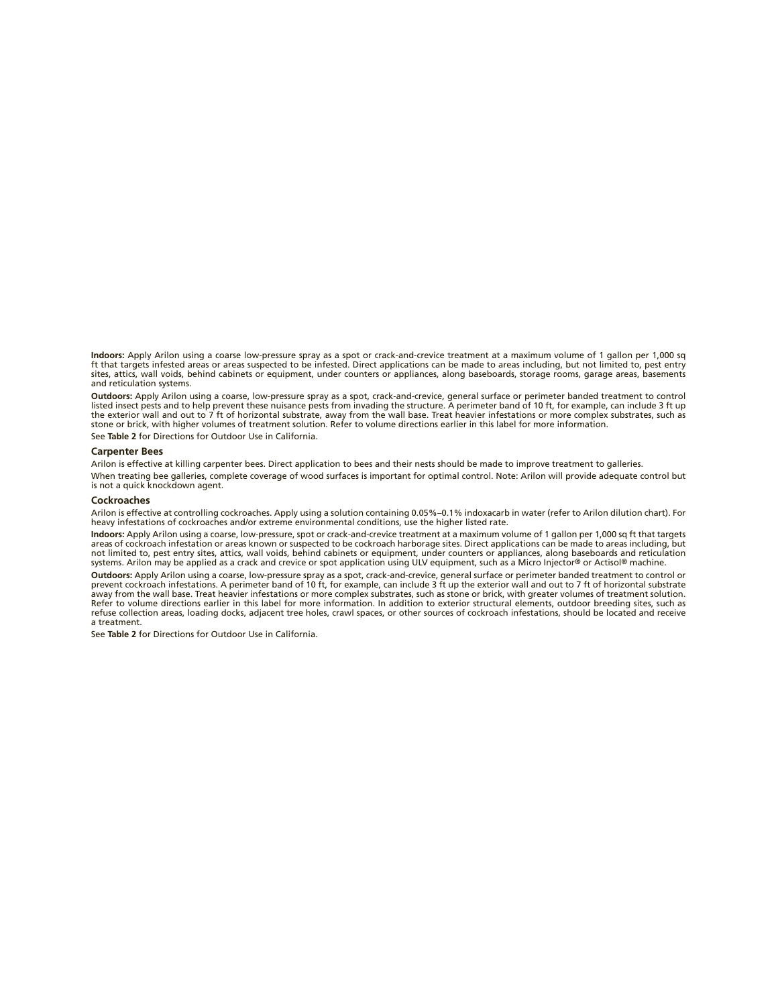**Indoors:** Apply Arilon using a coarse low-pressure spray as a spot or crack-and-crevice treatment at a maximum volume of 1 gallon per 1,000 sq ft that targets infested areas or areas suspected to be infested. Direct applications can be made to areas including, but not limited to, pest entry sites, attics, wall voids, behind cabinets or equipment, under counters or appliances, along baseboards, storage rooms, garage areas, basements and reticulation systems.

**Outdoors:** Apply Arilon using a coarse, low-pressure spray as a spot, crack-and-crevice, general surface or perimeter banded treatment to control listed insect pests and to help prevent these nuisance pests from invading the structure. A perimeter band of 10 ft, for example, can include 3 ft up the exterior wall and out to 7 ft of horizontal substrate, away from the wall base. Treat heavier infestations or more complex substrates, such as stone or brick, with higher volumes of treatment solution. Refer to volume directions earlier in this label for more information.

See **Table 2** for Directions for Outdoor Use in California.

#### **Carpenter Bees**

Arilon is effective at killing carpenter bees. Direct application to bees and their nests should be made to improve treatment to galleries.

When treating bee galleries, complete coverage of wood surfaces is important for optimal control. Note: Arilon will provide adequate control but is not a quick knockdown agent.

#### **Cockroaches**

Arilon is effective at controlling cockroaches. Apply using a solution containing 0.05%–0.1% indoxacarb in water (refer to Arilon dilution chart). For heavy infestations of cockroaches and/or extreme environmental conditions, use the higher listed rate.

**Indoors:** Apply Arilon using a coarse, low-pressure, spot or crack-and-crevice treatment at a maximum volume of 1 gallon per 1,000 sq ft that targets areas of cockroach infestation or areas known or suspected to be cockroach harborage sites. Direct applications can be made to areas including, but not limited to, pest entry sites, attics, wall voids, behind cabinets or equipment, under counters or appliances, along baseboards and reticulation systems. Arilon may be applied as a crack and crevice or spot application using ULV equipment, such as a Micro Injector® or Actisol® machine.

**Outdoors**: Apply Arilon using a coarse, low-pressure spray as a spot, crack-and-crevice, general surface or perimeter banded treatment to control or<br>prevent cockroach infestations. A perimeter band of 10 ft, for example, Refer to volume directions earlier in this label for more information. In addition to exterior structural elements, outdoor breeding sites, such as refuse collection areas, loading docks, adjacent tree holes, crawl spaces, or other sources of cockroach infestations, should be located and receive a treatment.

See **Table 2** for Directions for Outdoor Use in California.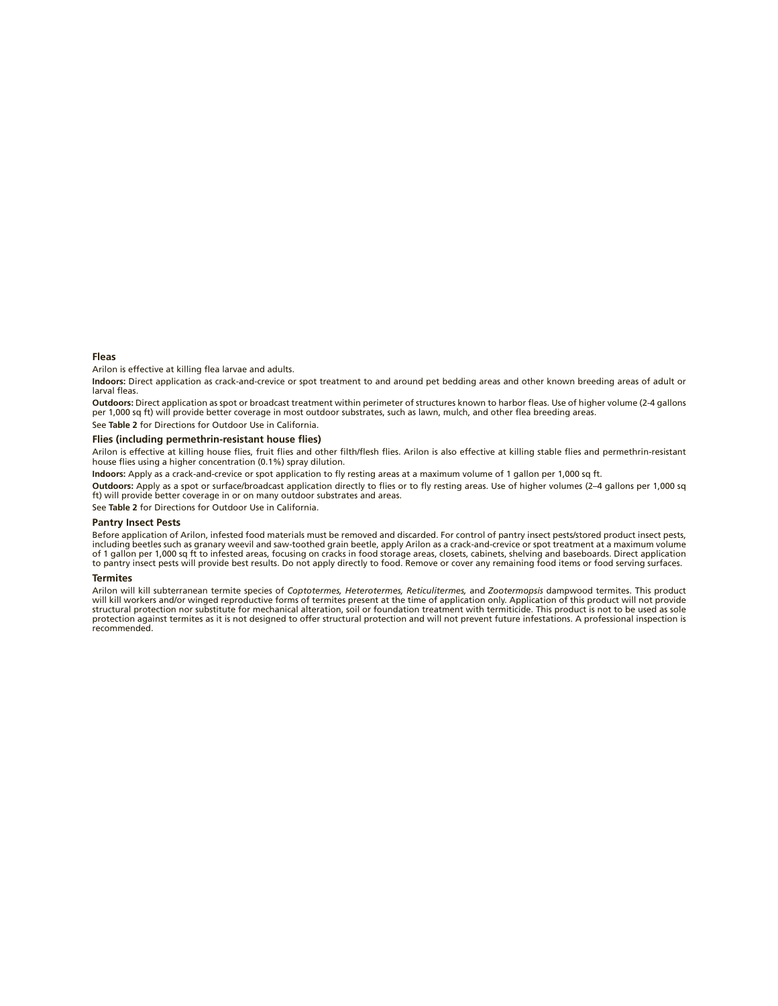#### **Fleas**

Arilon is effective at killing flea larvae and adults.

**Indoors:** Direct application as crack-and-crevice or spot treatment to and around pet bedding areas and other known breeding areas of adult or larval fleas.

**Outdoors**: Direct application as spot or broadcast treatment within perimeter of structures known to harbor fleas. Use of higher volume (2-4 gallons<br>per 1,000 sq ft) will provide better coverage in most outdoor substrates

See **Table 2** for Directions for Outdoor Use in California.

#### Flies (including permethrin-resistant house flies)

Arilon is effective at killing house flies, fruit flies and other filth/flesh flies. Arilon is also effective at killing stable flies and permethrin-resistant house flies using a higher concentration (0.1%) spray dilution.

Indoors: Apply as a crack-and-crevice or spot application to fly resting areas at a maximum volume of 1 gallon per 1,000 sq ft.

Outdoors: Apply as a spot or surface/broadcast application directly to flies or to fly resting areas. Use of higher volumes (2-4 gallons per 1,000 sq ft) will provide better coverage in or on many outdoor substrates and areas.

See **Table 2** for Directions for Outdoor Use in California.

#### **Pantry Insect Pests**

Before application of Arilon, infested food materials must be removed and discarded. For control of pantry insect pests/stored product insect pests, including beetles such as granary weevil and saw-toothed grain beetle, apply Arilon as a crack-and-crevice or spot treatment at a maximum volume<br>of 1 gallon per 1,000 sq ft to infested areas, focusing on cracks in food sto

#### **Termites**

Arilon will kill subterranean termite species of *Coptotermes, Heterotermes, Reticulitermes,* and *Zootermopsis* dampwood termites. This product will kill workers and/or winged reproductive forms of termites present at the time of application only. Application of this product will not provide structural protection nor substitute for mechanical alteration, soil or foundation treatment with termiticide. This product is not to be used as sole protection against termites as it is not designed to offer structural protection and will not prevent future infestations. A professional inspection is recommended.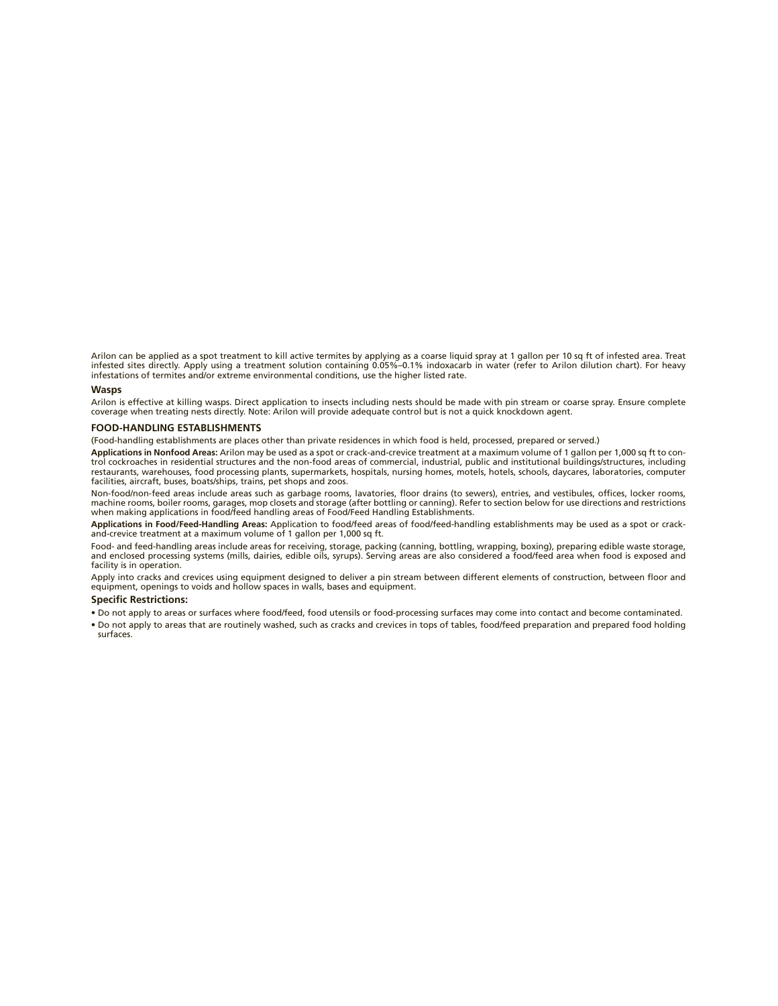Arilon can be applied as a spot treatment to kill active termites by applying as a coarse liquid spray at 1 gallon per 10 sq ft of infested area. Treat infested sites directly. Apply using a treatment solution containing 0.05%–0.1% indoxacarb in water (refer to Arilon dilution chart). For heavy infestations of termites and/or extreme environmental conditions, use the higher listed rate.

#### **Wasps**

Arilon is effective at killing wasps. Direct application to insects including nests should be made with pin stream or coarse spray. Ensure complete coverage when treating nests directly. Note: Arilon will provide adequate control but is not a quick knockdown agent.

#### **FOOD-HANDLING ESTABLISHMENTS**

(Food-handling establishments are places other than private residences in which food is held, processed, prepared or served.)

**Applications in Nonfood Areas:** Arilon may be used as a spot or crack-and-crevice treatment at a maximum volume of 1 gallon per 1,000 sq ft to control cockroaches in residential structures and the non -food areas of commercial, industrial, public and institutional buildings/structures, including restaurants, warehouses, food processing plants, supermarkets, hospitals, nursing homes, motels, hotels, schools, daycares, laboratories, computer facilities, aircraft, buses, boats/ships, trains, pet shops and zoos.

Non-food/non-feed areas include areas such as garbage rooms, lavatories, floor drains (to sewers), entries, and vestibules, offices, locker rooms, machine rooms, boiler rooms, garages, mop closets and storage (after bottling or canning). Refer to section below for use directions and restrictions when making applications in food/feed handling areas of Food/Feed Handling Establishments.

**Applications in Food/Feed-Handling Areas:** Application to food/feed areas of food/feed-handling establishments may be used as a spot or crackand-crevice treatment at a maximum volume of 1 gallon per 1,000 sq ft.

Food- and feed-handling areas include areas for receiving, storage, packing (canning, bottling, wrapping, boxing), preparing edible waste storage,<br>and enclosed processing systems (mills, dairies, edible oils, syrups). Serv

Apply into cracks and crevices using equipment designed to deliver a pin stream between different elements of construction, between floor and equipment, openings to voids and hollow spaces in walls, bases and equipment.

#### **Specific Restrictions:**

- Do not apply to areas or surfaces where food/feed, food utensils or food-processing surfaces may come into contact and become contaminated.
- Do not apply to areas that are routinely washed, such as cracks and crevices in tops of tables, food/feed preparation and prepared food holding surfaces.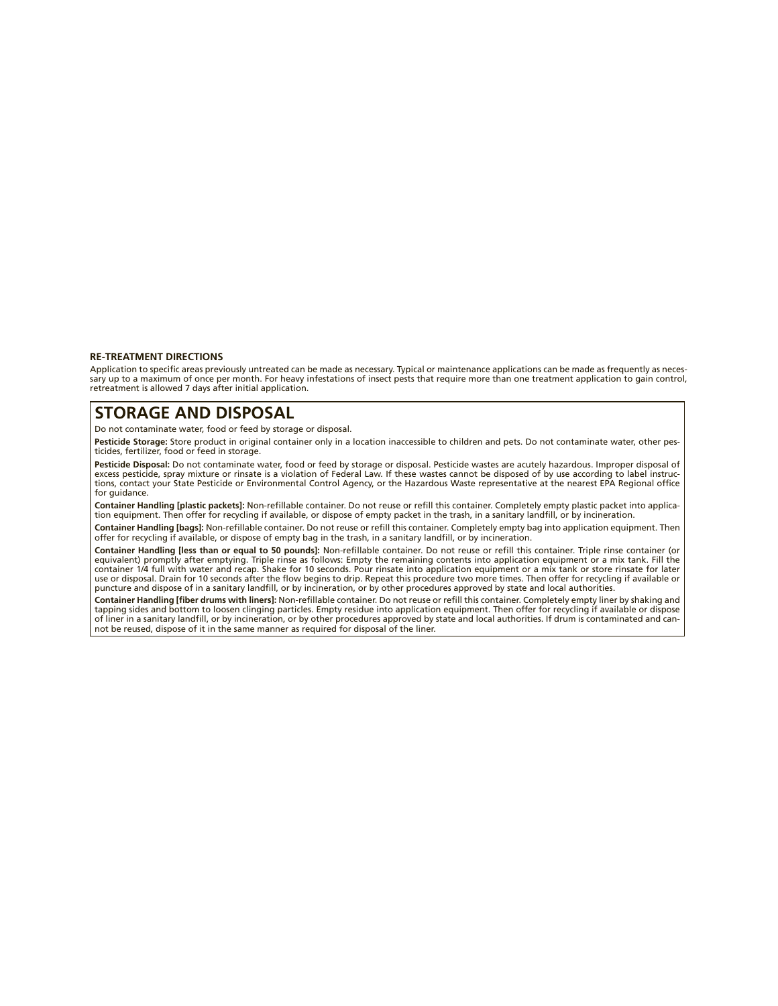#### **RE-TREATMENT DIRECTIONS**

Application to specific areas previously untreated can be made as necessary. Typical or maintenance applications can be made as frequently as necessary up to a maximum of once per month. For heavy infestations of insect pests that require more than one treatment application to gain control, retreatment is allowed 7 days after initial application.

## **STORAGE AND DISPOSAL**

Do not contaminate water, food or feed by storage or disposal.

**Pesticide Storage:** Store product in original container only in a location inaccessible to children and pets. Do not contaminate water, other pesticides, fertilizer, food or feed in storage.

**Pesticide Disposal:** Do not contaminate water, food or feed by storage or disposal. Pesticide wastes are acutely hazardous. Improper disposal of<br>excess pesticide, spray mixture or rinsate is a violation of Federal Law. If tions, contact your State Pesticide or Environmental Control Agency, or the Hazardous Waste representative at the nearest EPA Regional office for guidance.

Container Handling [plastic packets]: Non-refillable container. Do not reuse or refill this container. Completely empty plastic packet into application equipment. Then offer for recycling if available, or dispose of empty packet in the trash, in a sanitary landfill, or by incineration.

**Container Handling [bags]:** Non-refillable container. Do not reuse or refill this container. Completely empty bag into application equipment. Then<br>offer for recycling if available, or dispose of empty bag in the trash, in

Container Handling [less than or equal to 50 pounds]: Non-refillable container. Do not reuse or refill this container. Triple rinse container (or equivalent) promptly after emptying. Triple rinse as follows: Empty the remaining contents into application equipment or a mix tank. Fill the container 1/4 full with water and recap. Shake for 10 seconds. Pour rinsate into application equipment or a mix tank or store rinsate for later use or disposal. Drain for 10 seconds after the flow begins to drip. Repeat this procedure two more times. Then offer for recycling if available or puncture and dispose of in a sanitary landfill, or by incineration, or by other procedures approved by state and local authorities.

Container Handling [fiber drums with liners]: Non-refillable container. Do not reuse or refill this container. Completely empty liner by shaking and tapping sides and bottom to loosen clinging particles. Empty residue into application equipment. Then offer for recycling if available or dispose of liner in a sanitary landfill, or by incineration, or by other procedures approved by state and local authorities. If drum is contaminated and cannot be reused, dispose of it in the same manner as required for disposal of the liner.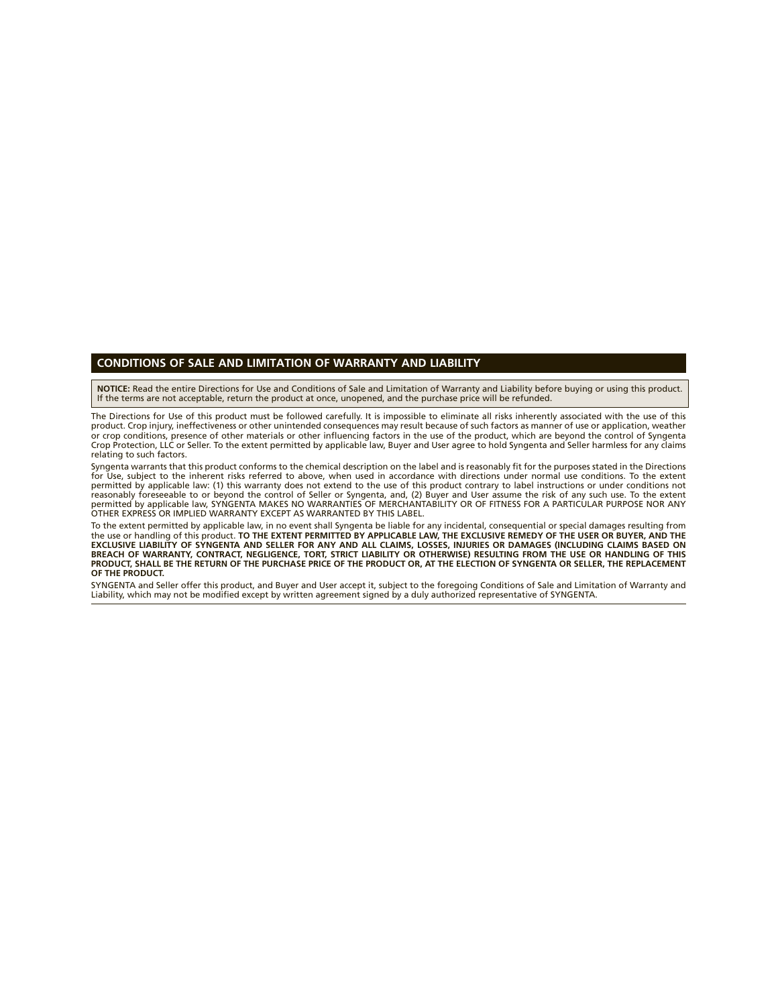### **CONDITIONS OF SALE AND LIMITATION OF WARRANTY AND LIABILITY**

**NOTICE:** Read the entire Directions for Use and Conditions of Sale and Limitation of Warranty and Liability before buying or using this product. If the terms are not acceptable, return the product at once, unopened, and the purchase price will be refunded.

The Directions for Use of this product must be followed carefully. It is impossible to eliminate all risks inherently associated with the use of this product. Crop injury, ineffectiveness or other unintended consequences may result because of such factors as manner of use or application, weather or crop conditions, presence of other materials or other influencing factors in the use of the product, which are beyond the control of Syngenta Crop Protection, LLC or Seller. To the extent permitted by applicable law, Buyer and User agree to hold Syngenta and Seller harmless for any claims relating to such factors.

Syngenta warrants that this product conforms to the chemical description on the label and is reasonably fit for the purposes stated in the Directions for Use, subject to the inherent risks referred to above, when used in accordance with directions under normal use conditions. To the extent permitted by applicable law: (1) this warranty does not extend to the use of this product contrary to label instructions or under conditions not reasonably foreseeable to or beyond the control of Seller or Syngenta, and, (2) Buyer and User assume the risk of any such use. To the extent<br>permitted by applicable law, SYNGENTA MAKES NO WARRANTIES OF MERCHANTABILITY OR

To the extent permitted by applicable law, in no event shall Syngenta be liable for any incidental, consequential or special damages resulting from the use or handling of this product. TO THE EXTENT PERMITTED BY APPLICABLE LAW, THE EXCLUSIVE REMEDY OF THE USER OR BUYER, AND THE<br>EXCLUSIVE LIABILITY OF SYNGENTA AND SELLER FOR ANY AND ALL CLAIMS, LOSSES, INJURIES OR DAMA **PRODUCT, SHALL BE THE RETURN OF THE PURCHASE PRICE OF THE PRODUCT OR, AT THE ELECTION OF SYNGENTA OR SELLER, THE REPLACEMENT OF THE PRODUCT.**

SYNGENTA and Seller offer this product, and Buyer and User accept it, subject to the foregoing Conditions of Sale and Limitation of Warranty and Liability, which may not be modified except by written agreement signed by a duly authorized representative of SYNGENTA.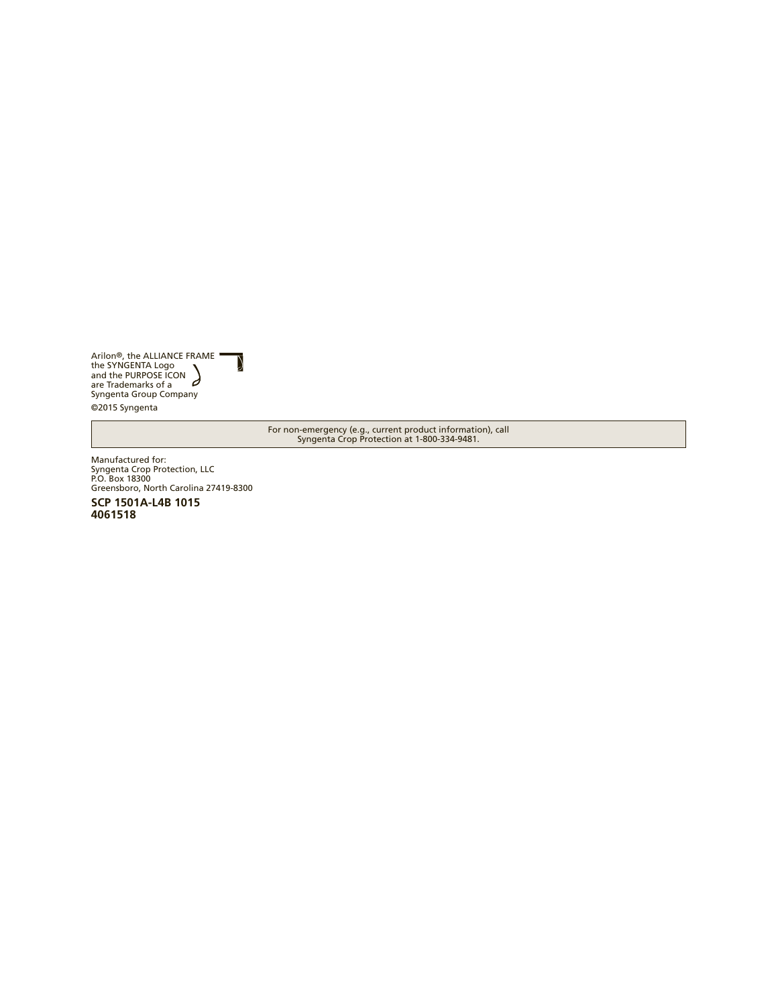Arilon®, the ALLIANCE FRAME<br>the SYNGENTA Logo<br>and the PURPOSE ICON<br>are Trademarks of a<br>Syngenta Group Company ©2015 Syngenta

 $\mathcal{Y}% _{M_{1},M_{2}}^{\alpha,\beta}(\mathcal{Y})$ 

For non-emergency (e.g., current product information), call Syngenta Crop Protection at 1-800-334-9481.

Manufactured for: Syngenta Crop Protection, LLC P.O. Box 18300 Greensboro, North Carolina 27419-8300

**SCP 1501A-L4B 1015 4061518**